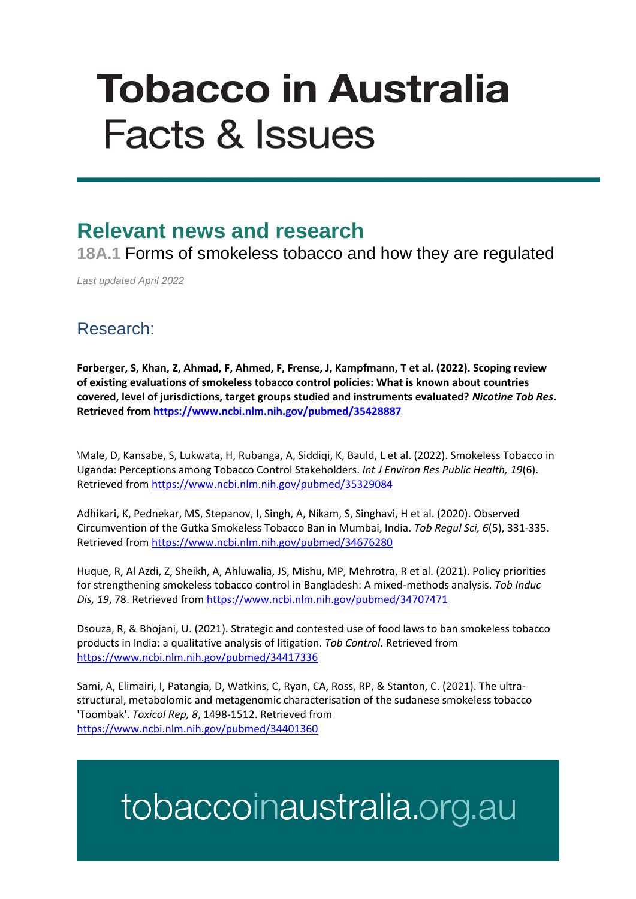# **Tobacco in Australia Facts & Issues**

### **Relevant news and research**

**18A.1** Forms of smokeless tobacco and how they are regulated

*Last updated April 2022*

#### Research:

**Forberger, S, Khan, Z, Ahmad, F, Ahmed, F, Frense, J, Kampfmann, T et al. (2022). Scoping review of existing evaluations of smokeless tobacco control policies: What is known about countries covered, level of jurisdictions, target groups studied and instruments evaluated?** *Nicotine Tob Res***. Retrieved fro[m https://www.ncbi.nlm.nih.gov/pubmed/35428887](https://www.ncbi.nlm.nih.gov/pubmed/35428887)**

\Male, D, Kansabe, S, Lukwata, H, Rubanga, A, Siddiqi, K, Bauld, L et al. (2022). Smokeless Tobacco in Uganda: Perceptions among Tobacco Control Stakeholders. *Int J Environ Res Public Health, 19*(6). Retrieved from<https://www.ncbi.nlm.nih.gov/pubmed/35329084>

Adhikari, K, Pednekar, MS, Stepanov, I, Singh, A, Nikam, S, Singhavi, H et al. (2020). Observed Circumvention of the Gutka Smokeless Tobacco Ban in Mumbai, India. *Tob Regul Sci, 6*(5), 331-335. Retrieved from<https://www.ncbi.nlm.nih.gov/pubmed/34676280>

Huque, R, Al Azdi, Z, Sheikh, A, Ahluwalia, JS, Mishu, MP, Mehrotra, R et al. (2021). Policy priorities for strengthening smokeless tobacco control in Bangladesh: A mixed-methods analysis. *Tob Induc Dis, 19*, 78. Retrieved fro[m https://www.ncbi.nlm.nih.gov/pubmed/34707471](https://www.ncbi.nlm.nih.gov/pubmed/34707471)

Dsouza, R, & Bhojani, U. (2021). Strategic and contested use of food laws to ban smokeless tobacco products in India: a qualitative analysis of litigation. *Tob Control*. Retrieved from <https://www.ncbi.nlm.nih.gov/pubmed/34417336>

Sami, A, Elimairi, I, Patangia, D, Watkins, C, Ryan, CA, Ross, RP, & Stanton, C. (2021). The ultrastructural, metabolomic and metagenomic characterisation of the sudanese smokeless tobacco 'Toombak'. *Toxicol Rep, 8*, 1498-1512. Retrieved from <https://www.ncbi.nlm.nih.gov/pubmed/34401360>

## tobaccoinaustralia.org.au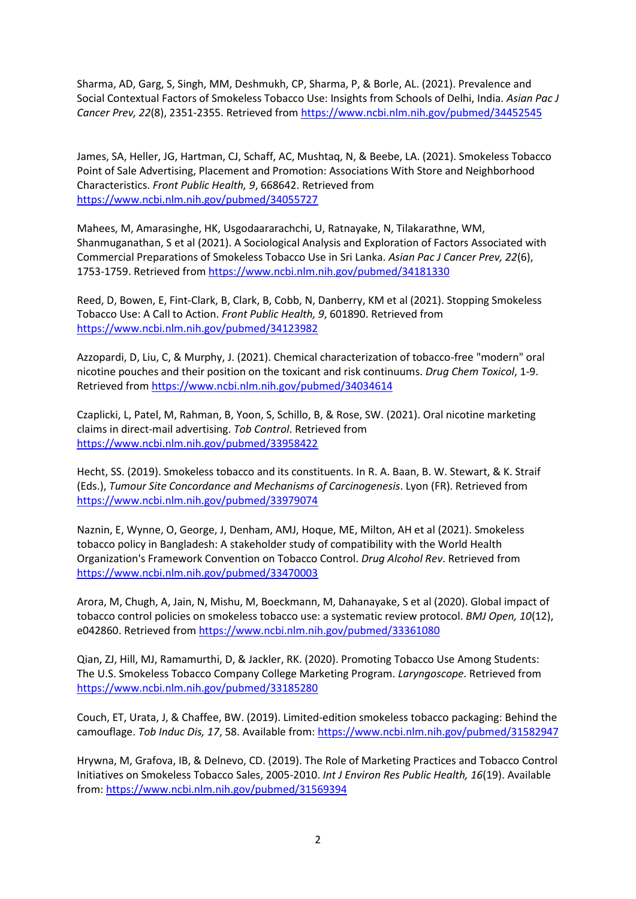Sharma, AD, Garg, S, Singh, MM, Deshmukh, CP, Sharma, P, & Borle, AL. (2021). Prevalence and Social Contextual Factors of Smokeless Tobacco Use: Insights from Schools of Delhi, India. *Asian Pac J Cancer Prev, 22*(8), 2351-2355. Retrieved from<https://www.ncbi.nlm.nih.gov/pubmed/34452545>

James, SA, Heller, JG, Hartman, CJ, Schaff, AC, Mushtaq, N, & Beebe, LA. (2021). Smokeless Tobacco Point of Sale Advertising, Placement and Promotion: Associations With Store and Neighborhood Characteristics. *Front Public Health, 9*, 668642. Retrieved from <https://www.ncbi.nlm.nih.gov/pubmed/34055727>

Mahees, M, Amarasinghe, HK, Usgodaararachchi, U, Ratnayake, N, Tilakarathne, WM, Shanmuganathan, S et al (2021). A Sociological Analysis and Exploration of Factors Associated with Commercial Preparations of Smokeless Tobacco Use in Sri Lanka. *Asian Pac J Cancer Prev, 22*(6), 1753-1759. Retrieved from<https://www.ncbi.nlm.nih.gov/pubmed/34181330>

Reed, D, Bowen, E, Fint-Clark, B, Clark, B, Cobb, N, Danberry, KM et al (2021). Stopping Smokeless Tobacco Use: A Call to Action. *Front Public Health, 9*, 601890. Retrieved from <https://www.ncbi.nlm.nih.gov/pubmed/34123982>

Azzopardi, D, Liu, C, & Murphy, J. (2021). Chemical characterization of tobacco-free "modern" oral nicotine pouches and their position on the toxicant and risk continuums. *Drug Chem Toxicol*, 1-9. Retrieved from<https://www.ncbi.nlm.nih.gov/pubmed/34034614>

Czaplicki, L, Patel, M, Rahman, B, Yoon, S, Schillo, B, & Rose, SW. (2021). Oral nicotine marketing claims in direct-mail advertising. *Tob Control*. Retrieved from <https://www.ncbi.nlm.nih.gov/pubmed/33958422>

Hecht, SS. (2019). Smokeless tobacco and its constituents. In R. A. Baan, B. W. Stewart, & K. Straif (Eds.), *Tumour Site Concordance and Mechanisms of Carcinogenesis*. Lyon (FR). Retrieved from <https://www.ncbi.nlm.nih.gov/pubmed/33979074>

Naznin, E, Wynne, O, George, J, Denham, AMJ, Hoque, ME, Milton, AH et al (2021). Smokeless tobacco policy in Bangladesh: A stakeholder study of compatibility with the World Health Organization's Framework Convention on Tobacco Control. *Drug Alcohol Rev*. Retrieved from <https://www.ncbi.nlm.nih.gov/pubmed/33470003>

Arora, M, Chugh, A, Jain, N, Mishu, M, Boeckmann, M, Dahanayake, S et al (2020). Global impact of tobacco control policies on smokeless tobacco use: a systematic review protocol. *BMJ Open, 10*(12), e042860. Retrieved from<https://www.ncbi.nlm.nih.gov/pubmed/33361080>

Qian, ZJ, Hill, MJ, Ramamurthi, D, & Jackler, RK. (2020). Promoting Tobacco Use Among Students: The U.S. Smokeless Tobacco Company College Marketing Program. *Laryngoscope*. Retrieved from <https://www.ncbi.nlm.nih.gov/pubmed/33185280>

Couch, ET, Urata, J, & Chaffee, BW. (2019). Limited-edition smokeless tobacco packaging: Behind the camouflage. *Tob Induc Dis, 17*, 58. Available from:<https://www.ncbi.nlm.nih.gov/pubmed/31582947>

Hrywna, M, Grafova, IB, & Delnevo, CD. (2019). The Role of Marketing Practices and Tobacco Control Initiatives on Smokeless Tobacco Sales, 2005-2010. *Int J Environ Res Public Health, 16*(19). Available from:<https://www.ncbi.nlm.nih.gov/pubmed/31569394>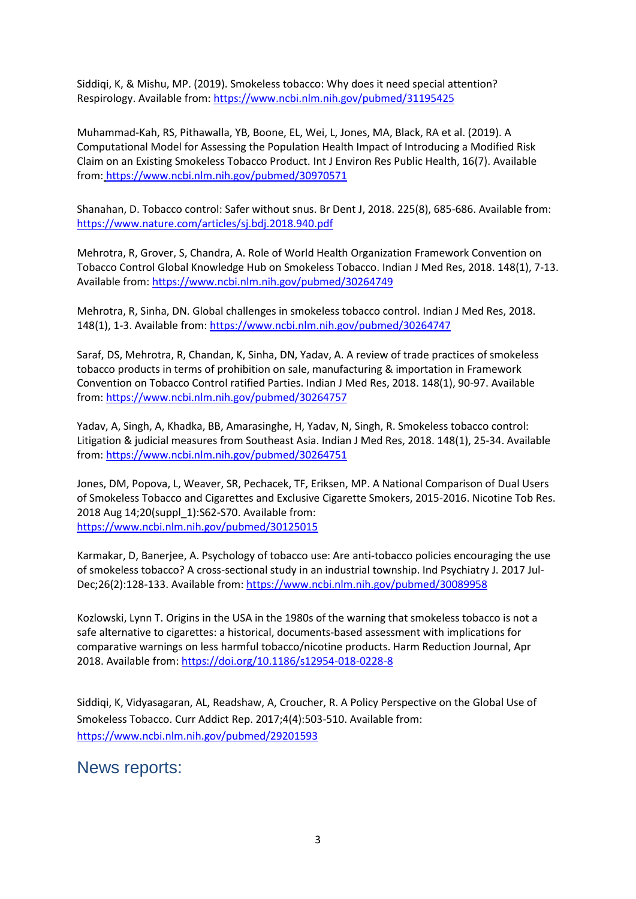Siddiqi, K, & Mishu, MP. (2019). Smokeless tobacco: Why does it need special attention? Respirology. Available from:<https://www.ncbi.nlm.nih.gov/pubmed/31195425>

Muhammad-Kah, RS, Pithawalla, YB, Boone, EL, Wei, L, Jones, MA, Black, RA et al. (2019). A Computational Model for Assessing the Population Health Impact of Introducing a Modified Risk Claim on an Existing Smokeless Tobacco Product. Int J Environ Res Public Health, 16(7). Available from: <https://www.ncbi.nlm.nih.gov/pubmed/30970571>

Shanahan, D. Tobacco control: Safer without snus. Br Dent J, 2018. 225(8), 685-686. Available from: <https://www.nature.com/articles/sj.bdj.2018.940.pdf>

Mehrotra, R, Grover, S, Chandra, A. Role of World Health Organization Framework Convention on Tobacco Control Global Knowledge Hub on Smokeless Tobacco. Indian J Med Res, 2018. 148(1), 7-13. Available from[: https://www.ncbi.nlm.nih.gov/pubmed/30264749](https://www.ncbi.nlm.nih.gov/pubmed/30264749)

Mehrotra, R, Sinha, DN. Global challenges in smokeless tobacco control. Indian J Med Res, 2018. 148(1), 1-3. Available from[: https://www.ncbi.nlm.nih.gov/pubmed/30264747](https://www.ncbi.nlm.nih.gov/pubmed/30264747)

Saraf, DS, Mehrotra, R, Chandan, K, Sinha, DN, Yadav, A. A review of trade practices of smokeless tobacco products in terms of prohibition on sale, manufacturing & importation in Framework Convention on Tobacco Control ratified Parties. Indian J Med Res, 2018. 148(1), 90-97. Available from:<https://www.ncbi.nlm.nih.gov/pubmed/30264757>

Yadav, A, Singh, A, Khadka, BB, Amarasinghe, H, Yadav, N, Singh, R. Smokeless tobacco control: Litigation & judicial measures from Southeast Asia. Indian J Med Res, 2018. 148(1), 25-34. Available from:<https://www.ncbi.nlm.nih.gov/pubmed/30264751>

Jones, DM, Popova, L, Weaver, SR, Pechacek, TF, Eriksen, MP. A National Comparison of Dual Users of Smokeless Tobacco and Cigarettes and Exclusive Cigarette Smokers, 2015-2016. Nicotine Tob Res. 2018 Aug 14;20(suppl\_1):S62-S70. Available from: <https://www.ncbi.nlm.nih.gov/pubmed/30125015>

Karmakar, D, Banerjee, A. Psychology of tobacco use: Are anti-tobacco policies encouraging the use of smokeless tobacco? A cross-sectional study in an industrial township. Ind Psychiatry J. 2017 Jul-Dec;26(2):128-133. Available from[: https://www.ncbi.nlm.nih.gov/pubmed/30089958](https://www.ncbi.nlm.nih.gov/pubmed/30089958)

Kozlowski, Lynn T. Origins in the USA in the 1980s of the warning that smokeless tobacco is not a safe alternative to cigarettes: a historical, documents-based assessment with implications for comparative warnings on less harmful tobacco/nicotine products. Harm Reduction Journal, Apr 2018. Available from:<https://doi.org/10.1186/s12954-018-0228-8>

Siddiqi, K, Vidyasagaran, AL, Readshaw, A, Croucher, R. A Policy Perspective on the Global Use of Smokeless Tobacco. Curr Addict Rep. 2017;4(4):503-510. Available from: <https://www.ncbi.nlm.nih.gov/pubmed/29201593>

#### News reports: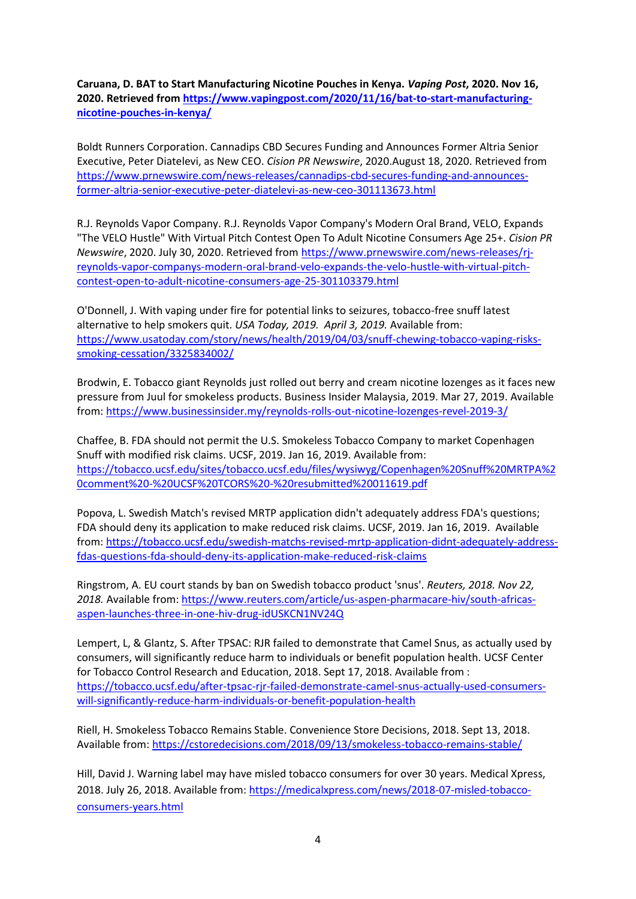**Caruana, D. BAT to Start Manufacturing Nicotine Pouches in Kenya.** *Vaping Post***, 2020. Nov 16, 2020. Retrieved from [https://www.vapingpost.com/2020/11/16/bat-to-start-manufacturing](https://www.vapingpost.com/2020/11/16/bat-to-start-manufacturing-nicotine-pouches-in-kenya/)[nicotine-pouches-in-kenya/](https://www.vapingpost.com/2020/11/16/bat-to-start-manufacturing-nicotine-pouches-in-kenya/)**

Boldt Runners Corporation. Cannadips CBD Secures Funding and Announces Former Altria Senior Executive, Peter Diatelevi, as New CEO. *Cision PR Newswire*, 2020.August 18, 2020. Retrieved from [https://www.prnewswire.com/news-releases/cannadips-cbd-secures-funding-and-announces](https://www.prnewswire.com/news-releases/cannadips-cbd-secures-funding-and-announces-former-altria-senior-executive-peter-diatelevi-as-new-ceo-301113673.html)[former-altria-senior-executive-peter-diatelevi-as-new-ceo-301113673.html](https://www.prnewswire.com/news-releases/cannadips-cbd-secures-funding-and-announces-former-altria-senior-executive-peter-diatelevi-as-new-ceo-301113673.html)

R.J. Reynolds Vapor Company. R.J. Reynolds Vapor Company's Modern Oral Brand, VELO, Expands "The VELO Hustle" With Virtual Pitch Contest Open To Adult Nicotine Consumers Age 25+. *Cision PR Newswire*, 2020. July 30, 2020. Retrieved from [https://www.prnewswire.com/news-releases/rj](https://www.prnewswire.com/news-releases/rj-reynolds-vapor-companys-modern-oral-brand-velo-expands-the-velo-hustle-with-virtual-pitch-contest-open-to-adult-nicotine-consumers-age-25-301103379.html)[reynolds-vapor-companys-modern-oral-brand-velo-expands-the-velo-hustle-with-virtual-pitch](https://www.prnewswire.com/news-releases/rj-reynolds-vapor-companys-modern-oral-brand-velo-expands-the-velo-hustle-with-virtual-pitch-contest-open-to-adult-nicotine-consumers-age-25-301103379.html)[contest-open-to-adult-nicotine-consumers-age-25-301103379.html](https://www.prnewswire.com/news-releases/rj-reynolds-vapor-companys-modern-oral-brand-velo-expands-the-velo-hustle-with-virtual-pitch-contest-open-to-adult-nicotine-consumers-age-25-301103379.html)

O'Donnell, J. With vaping under fire for potential links to seizures, tobacco-free snuff latest alternative to help smokers quit. *USA Today, 2019. April 3, 2019.* Available from: [https://www.usatoday.com/story/news/health/2019/04/03/snuff-chewing-tobacco-vaping-risks](https://www.usatoday.com/story/news/health/2019/04/03/snuff-chewing-tobacco-vaping-risks-smoking-cessation/3325834002/)[smoking-cessation/3325834002/](https://www.usatoday.com/story/news/health/2019/04/03/snuff-chewing-tobacco-vaping-risks-smoking-cessation/3325834002/)

Brodwin, E. Tobacco giant Reynolds just rolled out berry and cream nicotine lozenges as it faces new pressure from Juul for smokeless products. Business Insider Malaysia, 2019. Mar 27, 2019. Available from:<https://www.businessinsider.my/reynolds-rolls-out-nicotine-lozenges-revel-2019-3/>

Chaffee, B. FDA should not permit the U.S. Smokeless Tobacco Company to market Copenhagen Snuff with modified risk claims. UCSF, 2019. Jan 16, 2019. Available from: [https://tobacco.ucsf.edu/sites/tobacco.ucsf.edu/files/wysiwyg/Copenhagen%20Snuff%20MRTPA%2](https://tobacco.ucsf.edu/sites/tobacco.ucsf.edu/files/wysiwyg/Copenhagen%20Snuff%20MRTPA%20comment%20-%20UCSF%20TCORS%20-%20resubmitted%20011619.pdf) [0comment%20-%20UCSF%20TCORS%20-%20resubmitted%20011619.pdf](https://tobacco.ucsf.edu/sites/tobacco.ucsf.edu/files/wysiwyg/Copenhagen%20Snuff%20MRTPA%20comment%20-%20UCSF%20TCORS%20-%20resubmitted%20011619.pdf)

Popova, L. Swedish Match's revised MRTP application didn't adequately address FDA's questions; FDA should deny its application to make reduced risk claims. UCSF, 2019. Jan 16, 2019. Available from: [https://tobacco.ucsf.edu/swedish-matchs-revised-mrtp-application-didnt-adequately-address](https://tobacco.ucsf.edu/swedish-matchs-revised-mrtp-application-didnt-adequately-address-fdas-questions-fda-should-deny-its-application-make-reduced-risk-claims)[fdas-questions-fda-should-deny-its-application-make-reduced-risk-claims](https://tobacco.ucsf.edu/swedish-matchs-revised-mrtp-application-didnt-adequately-address-fdas-questions-fda-should-deny-its-application-make-reduced-risk-claims)

Ringstrom, A. EU court stands by ban on Swedish tobacco product 'snus'. *Reuters, 2018. Nov 22, 2018.* Available from: [https://www.reuters.com/article/us-aspen-pharmacare-hiv/south-africas](https://www.reuters.com/article/us-aspen-pharmacare-hiv/south-africas-aspen-launches-three-in-one-hiv-drug-idUSKCN1NV24Q)[aspen-launches-three-in-one-hiv-drug-idUSKCN1NV24Q](https://www.reuters.com/article/us-aspen-pharmacare-hiv/south-africas-aspen-launches-three-in-one-hiv-drug-idUSKCN1NV24Q)

Lempert, L, & Glantz, S. After TPSAC: RJR failed to demonstrate that Camel Snus, as actually used by consumers, will significantly reduce harm to individuals or benefit population health. UCSF Center for Tobacco Control Research and Education, 2018. Sept 17, 2018. Available from : [https://tobacco.ucsf.edu/after-tpsac-rjr-failed-demonstrate-camel-snus-actually-used-consumers](https://tobacco.ucsf.edu/after-tpsac-rjr-failed-demonstrate-camel-snus-actually-used-consumers-will-significantly-reduce-harm-individuals-or-benefit-population-health)[will-significantly-reduce-harm-individuals-or-benefit-population-health](https://tobacco.ucsf.edu/after-tpsac-rjr-failed-demonstrate-camel-snus-actually-used-consumers-will-significantly-reduce-harm-individuals-or-benefit-population-health)

Riell, H. Smokeless Tobacco Remains Stable. Convenience Store Decisions, 2018. Sept 13, 2018. Available from: <https://cstoredecisions.com/2018/09/13/smokeless-tobacco-remains-stable/>

Hill, David J. Warning label may have misled tobacco consumers for over 30 years. Medical Xpress, 2018. July 26, 2018. Available from: [https://medicalxpress.com/news/2018-07-misled-tobacco](https://medicalxpress.com/news/2018-07-misled-tobacco-consumers-years.html)[consumers-years.html](https://medicalxpress.com/news/2018-07-misled-tobacco-consumers-years.html)